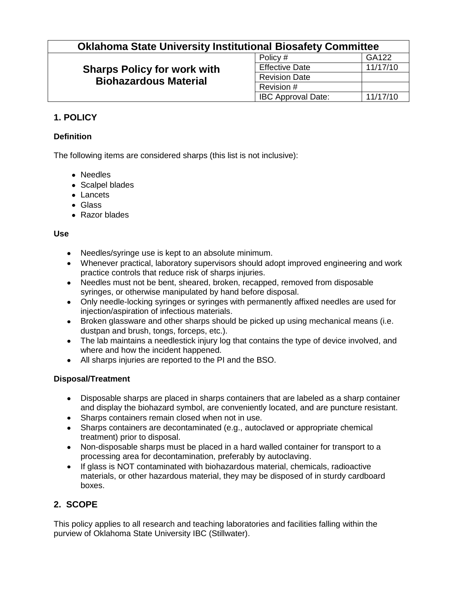# **Oklahoma State University Institutional Biosafety Committee**

# **Sharps Policy for work with Biohazardous Material**

| .                         |          |
|---------------------------|----------|
| Policy #                  | GA122    |
| <b>Effective Date</b>     | 11/17/10 |
| <b>Revision Date</b>      |          |
| Revision #                |          |
| <b>IBC Approval Date:</b> | 11/17/10 |

## **1. POLICY**

### **Definition**

The following items are considered sharps (this list is not inclusive):

- Needles
- Scalpel blades
- Lancets
- Glass
- Razor blades

#### **Use**

- Needles/syringe use is kept to an absolute minimum.
- Whenever practical, laboratory supervisors should adopt improved engineering and work practice controls that reduce risk of sharps injuries.
- Needles must not be bent, sheared, broken, recapped, removed from disposable syringes, or otherwise manipulated by hand before disposal.
- Only needle-locking syringes or syringes with permanently affixed needles are used for injection/aspiration of infectious materials.
- Broken glassware and other sharps should be picked up using mechanical means (i.e. dustpan and brush, tongs, forceps, etc.).
- The lab maintains a needlestick injury log that contains the type of device involved, and where and how the incident happened.
- All sharps injuries are reported to the PI and the BSO.

### **Disposal/Treatment**

- Disposable sharps are placed in sharps containers that are labeled as a sharp container  $\bullet$ and display the biohazard symbol, are conveniently located, and are puncture resistant.
- Sharps containers remain closed when not in use.
- Sharps containers are decontaminated (e.g., autoclaved or appropriate chemical treatment) prior to disposal.
- Non-disposable sharps must be placed in a hard walled container for transport to a processing area for decontamination, preferably by autoclaving.
- If glass is NOT contaminated with biohazardous material, chemicals, radioactive materials, or other hazardous material, they may be disposed of in sturdy cardboard boxes.

## **2. SCOPE**

This policy applies to all research and teaching laboratories and facilities falling within the purview of Oklahoma State University IBC (Stillwater).